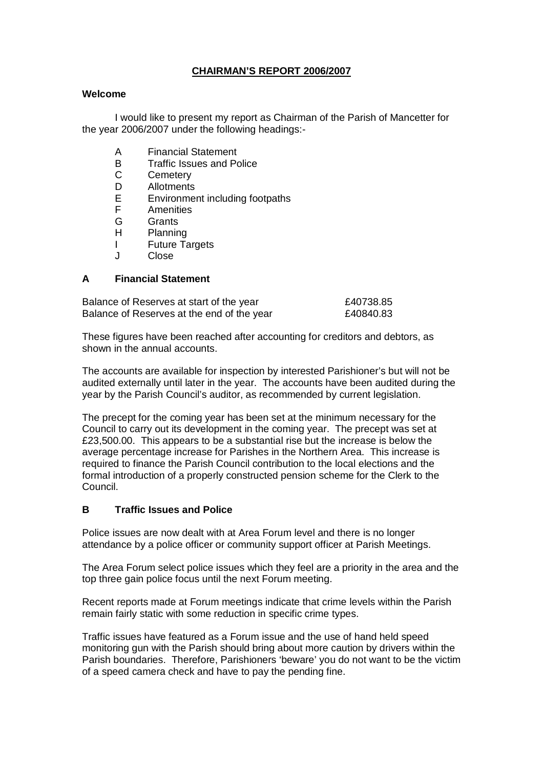# **CHAIRMAN'S REPORT 2006/2007**

#### **Welcome**

 I would like to present my report as Chairman of the Parish of Mancetter for the year 2006/2007 under the following headings:-

- A Financial Statement
- B Traffic Issues and Police<br>C Cemeterv
- C Cemetery<br>D Allotments
- **Allotments**
- E Environment including footpaths
- F Amenities
- G Grants
- H Planning
- I Future Targets
- J Close

### **A Financial Statement**

| Balance of Reserves at start of the year   | £40738.85 |
|--------------------------------------------|-----------|
| Balance of Reserves at the end of the year | £40840.83 |

These figures have been reached after accounting for creditors and debtors, as shown in the annual accounts.

The accounts are available for inspection by interested Parishioner's but will not be audited externally until later in the year. The accounts have been audited during the year by the Parish Council's auditor, as recommended by current legislation.

The precept for the coming year has been set at the minimum necessary for the Council to carry out its development in the coming year. The precept was set at £23,500.00. This appears to be a substantial rise but the increase is below the average percentage increase for Parishes in the Northern Area. This increase is required to finance the Parish Council contribution to the local elections and the formal introduction of a properly constructed pension scheme for the Clerk to the Council.

#### **B Traffic Issues and Police**

Police issues are now dealt with at Area Forum level and there is no longer attendance by a police officer or community support officer at Parish Meetings.

The Area Forum select police issues which they feel are a priority in the area and the top three gain police focus until the next Forum meeting.

Recent reports made at Forum meetings indicate that crime levels within the Parish remain fairly static with some reduction in specific crime types.

Traffic issues have featured as a Forum issue and the use of hand held speed monitoring gun with the Parish should bring about more caution by drivers within the Parish boundaries. Therefore, Parishioners 'beware' you do not want to be the victim of a speed camera check and have to pay the pending fine.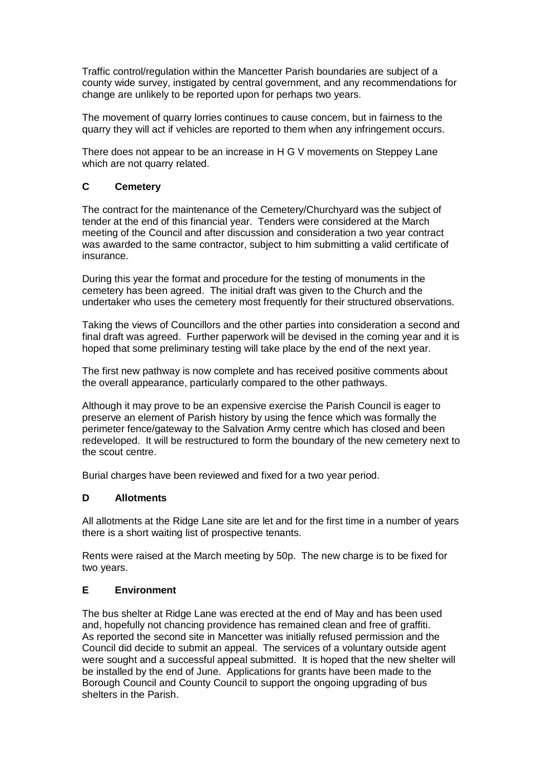Traffic control/regulation within the Mancetter Parish boundaries are subject of a county wide survey, instigated by central government, and any recommendations for change are unlikely to be reported upon for perhaps two years.

The movement of quarry lorries continues to cause concern, but in fairness to the quarry they will act if vehicles are reported to them when any infringement occurs.

There does not appear to be an increase in H G V movements on Steppey Lane which are not quarry related.

### **C Cemetery**

The contract for the maintenance of the Cemetery/Churchyard was the subject of tender at the end of this financial year. Tenders were considered at the March meeting of the Council and after discussion and consideration a two year contract was awarded to the same contractor, subject to him submitting a valid certificate of insurance.

During this year the format and procedure for the testing of monuments in the cemetery has been agreed. The initial draft was given to the Church and the undertaker who uses the cemetery most frequently for their structured observations.

Taking the views of Councillors and the other parties into consideration a second and final draft was agreed. Further paperwork will be devised in the coming year and it is hoped that some preliminary testing will take place by the end of the next year.

The first new pathway is now complete and has received positive comments about the overall appearance, particularly compared to the other pathways.

Although it may prove to be an expensive exercise the Parish Council is eager to preserve an element of Parish history by using the fence which was formally the perimeter fence/gateway to the Salvation Army centre which has closed and been redeveloped. It will be restructured to form the boundary of the new cemetery next to the scout centre.

Burial charges have been reviewed and fixed for a two year period.

#### **D Allotments**

All allotments at the Ridge Lane site are let and for the first time in a number of years there is a short waiting list of prospective tenants.

Rents were raised at the March meeting by 50p. The new charge is to be fixed for two years.

#### **E Environment**

The bus shelter at Ridge Lane was erected at the end of May and has been used and, hopefully not chancing providence has remained clean and free of graffiti. As reported the second site in Mancetter was initially refused permission and the Council did decide to submit an appeal. The services of a voluntary outside agent were sought and a successful appeal submitted. It is hoped that the new shelter will be installed by the end of June. Applications for grants have been made to the Borough Council and County Council to support the ongoing upgrading of bus shelters in the Parish.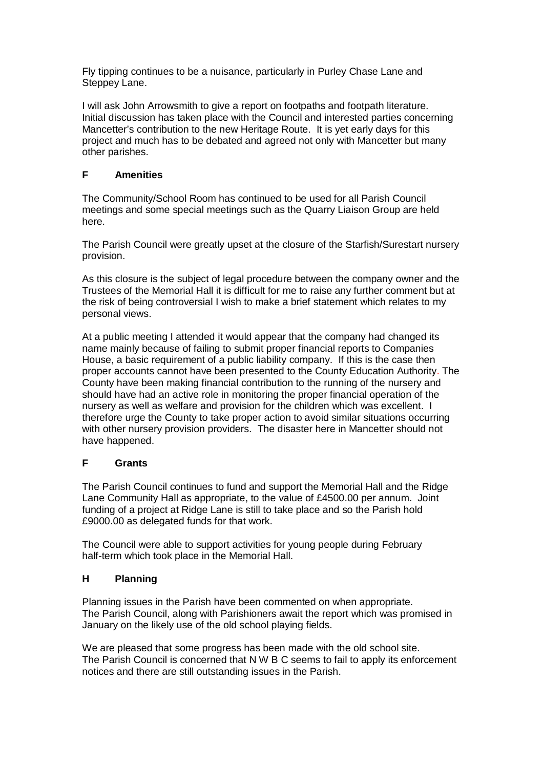Fly tipping continues to be a nuisance, particularly in Purley Chase Lane and Steppey Lane.

I will ask John Arrowsmith to give a report on footpaths and footpath literature. Initial discussion has taken place with the Council and interested parties concerning Mancetter's contribution to the new Heritage Route. It is yet early days for this project and much has to be debated and agreed not only with Mancetter but many other parishes.

# **F Amenities**

The Community/School Room has continued to be used for all Parish Council meetings and some special meetings such as the Quarry Liaison Group are held here.

The Parish Council were greatly upset at the closure of the Starfish/Surestart nursery provision.

As this closure is the subject of legal procedure between the company owner and the Trustees of the Memorial Hall it is difficult for me to raise any further comment but at the risk of being controversial I wish to make a brief statement which relates to my personal views.

At a public meeting I attended it would appear that the company had changed its name mainly because of failing to submit proper financial reports to Companies House, a basic requirement of a public liability company. If this is the case then proper accounts cannot have been presented to the County Education Authority. The County have been making financial contribution to the running of the nursery and should have had an active role in monitoring the proper financial operation of the nursery as well as welfare and provision for the children which was excellent. I therefore urge the County to take proper action to avoid similar situations occurring with other nursery provision providers. The disaster here in Mancetter should not have happened.

#### **F Grants**

The Parish Council continues to fund and support the Memorial Hall and the Ridge Lane Community Hall as appropriate, to the value of £4500.00 per annum. Joint funding of a project at Ridge Lane is still to take place and so the Parish hold £9000.00 as delegated funds for that work.

The Council were able to support activities for young people during February half-term which took place in the Memorial Hall.

#### **H Planning**

Planning issues in the Parish have been commented on when appropriate. The Parish Council, along with Parishioners await the report which was promised in January on the likely use of the old school playing fields.

We are pleased that some progress has been made with the old school site. The Parish Council is concerned that N W B C seems to fail to apply its enforcement notices and there are still outstanding issues in the Parish.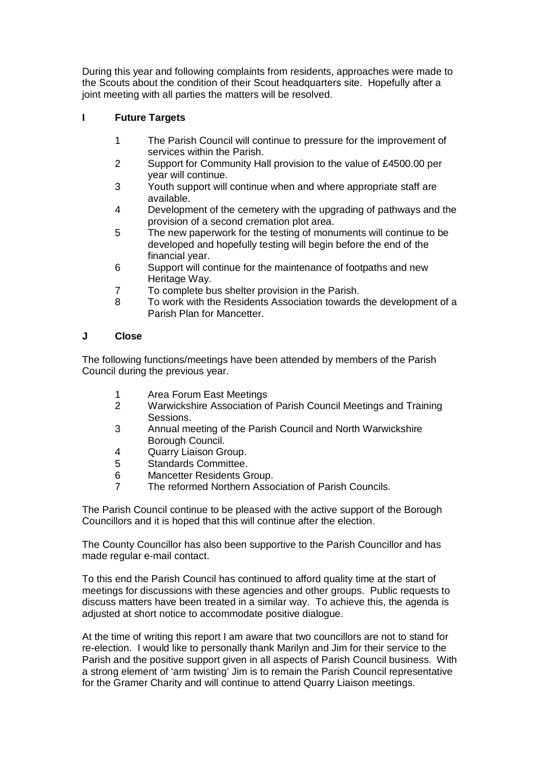During this year and following complaints from residents, approaches were made to the Scouts about the condition of their Scout headquarters site. Hopefully after a joint meeting with all parties the matters will be resolved.

# **I Future Targets**

- 1 The Parish Council will continue to pressure for the improvement of services within the Parish.
- 2 Support for Community Hall provision to the value of £4500.00 per year will continue.
- 3 Youth support will continue when and where appropriate staff are available.
- 4 Development of the cemetery with the upgrading of pathways and the provision of a second cremation plot area.
- 5 The new paperwork for the testing of monuments will continue to be developed and hopefully testing will begin before the end of the financial year.
- 6 Support will continue for the maintenance of footpaths and new Heritage Way.
- 7 To complete bus shelter provision in the Parish.
- 8 To work with the Residents Association towards the development of a Parish Plan for Mancetter.

#### **J Close**

The following functions/meetings have been attended by members of the Parish Council during the previous year.

- 1 Area Forum East Meetings
- 2 Warwickshire Association of Parish Council Meetings and Training Sessions.
- 3 Annual meeting of the Parish Council and North Warwickshire Borough Council.
- 4 Quarry Liaison Group.
- 5 Standards Committee.
- 6 Mancetter Residents Group.
- 7 The reformed Northern Association of Parish Councils.

The Parish Council continue to be pleased with the active support of the Borough Councillors and it is hoped that this will continue after the election.

The County Councillor has also been supportive to the Parish Councillor and has made regular e-mail contact.

To this end the Parish Council has continued to afford quality time at the start of meetings for discussions with these agencies and other groups. Public requests to discuss matters have been treated in a similar way. To achieve this, the agenda is adjusted at short notice to accommodate positive dialogue.

At the time of writing this report I am aware that two councillors are not to stand for re-election. I would like to personally thank Marilyn and Jim for their service to the Parish and the positive support given in all aspects of Parish Council business. With a strong element of 'arm twisting' Jim is to remain the Parish Council representative for the Gramer Charity and will continue to attend Quarry Liaison meetings.